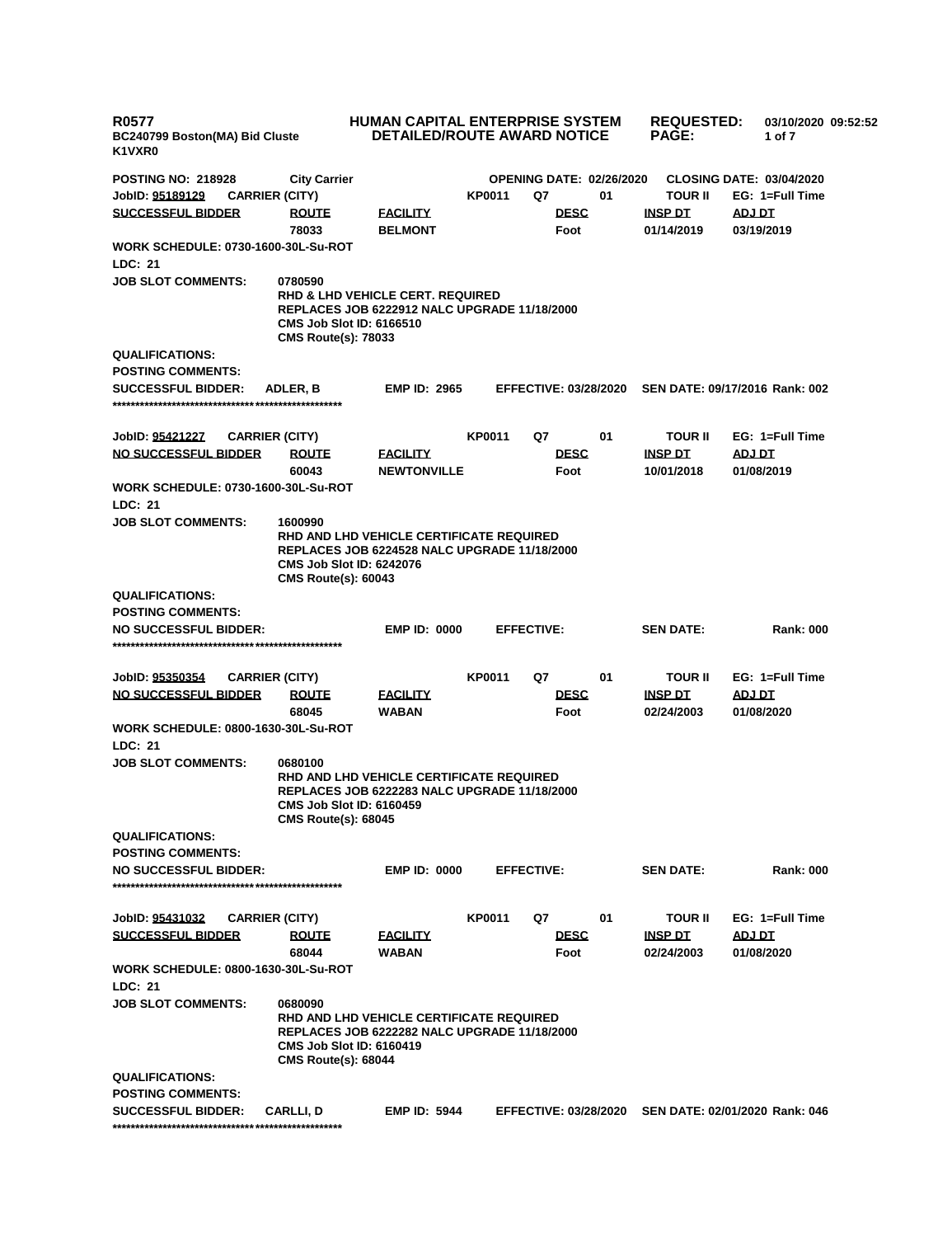| <b>R0577</b><br>BC240799 Boston(MA) Bid Cluste<br>K1VXR0     |                                                                          | HUMAN CAPITAL ENTERPRISE SYSTEM<br><b>DETAILED/ROUTE AWARD NOTICE</b>                              |               |                   | <b>REQUESTED:</b><br><b>PAGE:</b> | 03/10/2020 09:52:52<br>1 of 7   |                                  |                                 |  |
|--------------------------------------------------------------|--------------------------------------------------------------------------|----------------------------------------------------------------------------------------------------|---------------|-------------------|-----------------------------------|---------------------------------|----------------------------------|---------------------------------|--|
| <b>POSTING NO: 218928</b>                                    | <b>City Carrier</b>                                                      |                                                                                                    |               |                   |                                   | <b>OPENING DATE: 02/26/2020</b> |                                  | <b>CLOSING DATE: 03/04/2020</b> |  |
| JobID: 95189129                                              | <b>CARRIER (CITY)</b>                                                    |                                                                                                    | KP0011        | Q7                |                                   | 01                              | <b>TOUR II</b>                   | EG: 1=Full Time                 |  |
| <b>SUCCESSFUL BIDDER</b>                                     | <b>ROUTE</b>                                                             | <b>FACILITY</b>                                                                                    |               |                   | <b>DESC</b>                       |                                 | <b>INSP DT</b>                   | ADJ DT                          |  |
|                                                              | 78033                                                                    | <b>BELMONT</b>                                                                                     |               |                   | Foot                              |                                 | 01/14/2019                       | 03/19/2019                      |  |
| <b>WORK SCHEDULE: 0730-1600-30L-Su-ROT</b>                   |                                                                          |                                                                                                    |               |                   |                                   |                                 |                                  |                                 |  |
| LDC: 21                                                      |                                                                          |                                                                                                    |               |                   |                                   |                                 |                                  |                                 |  |
| <b>JOB SLOT COMMENTS:</b>                                    | 0780590<br><b>CMS Job Slot ID: 6166510</b><br><b>CMS Route(s): 78033</b> | <b>RHD &amp; LHD VEHICLE CERT. REQUIRED</b><br><b>REPLACES JOB 6222912 NALC UPGRADE 11/18/2000</b> |               |                   |                                   |                                 |                                  |                                 |  |
| <b>QUALIFICATIONS:</b>                                       |                                                                          |                                                                                                    |               |                   |                                   |                                 |                                  |                                 |  |
| <b>POSTING COMMENTS:</b>                                     |                                                                          |                                                                                                    |               |                   |                                   |                                 |                                  |                                 |  |
| <b>SUCCESSFUL BIDDER:</b>                                    | ADLER, B                                                                 | <b>EMP ID: 2965</b>                                                                                |               |                   | <b>EFFECTIVE: 03/28/2020</b>      |                                 |                                  | SEN DATE: 09/17/2016 Rank: 002  |  |
|                                                              |                                                                          |                                                                                                    |               |                   |                                   |                                 |                                  |                                 |  |
|                                                              |                                                                          |                                                                                                    |               |                   |                                   |                                 |                                  | EG: 1=Full Time                 |  |
| JobID: 95421227<br><b>NO SUCCESSFUL BIDDER</b>               | <b>CARRIER (CITY)</b><br><b>ROUTE</b>                                    |                                                                                                    | <b>KP0011</b> | Q7                | <b>DESC</b>                       | 01                              | <b>TOUR II</b><br><u>INSP DT</u> |                                 |  |
|                                                              | 60043                                                                    | <b>FACILITY</b><br><b>NEWTONVILLE</b>                                                              |               |                   | Foot                              |                                 | 10/01/2018                       | <u>ADJ DT</u><br>01/08/2019     |  |
| <b>WORK SCHEDULE: 0730-1600-30L-Su-ROT</b><br><b>LDC: 21</b> |                                                                          |                                                                                                    |               |                   |                                   |                                 |                                  |                                 |  |
| <b>JOB SLOT COMMENTS:</b>                                    | 1600990<br><b>CMS Job Slot ID: 6242076</b>                               | RHD AND LHD VEHICLE CERTIFICATE REQUIRED<br><b>REPLACES JOB 6224528 NALC UPGRADE 11/18/2000</b>    |               |                   |                                   |                                 |                                  |                                 |  |
| <b>QUALIFICATIONS:</b>                                       | <b>CMS Route(s): 60043</b>                                               |                                                                                                    |               |                   |                                   |                                 |                                  |                                 |  |
| <b>POSTING COMMENTS:</b>                                     |                                                                          |                                                                                                    |               |                   |                                   |                                 |                                  |                                 |  |
| <b>NO SUCCESSFUL BIDDER:</b>                                 |                                                                          | <b>EMP ID: 0000</b>                                                                                |               | <b>EFFECTIVE:</b> |                                   |                                 | <b>SEN DATE:</b>                 | <b>Rank: 000</b>                |  |
|                                                              |                                                                          |                                                                                                    |               |                   |                                   |                                 |                                  |                                 |  |
| JobID: 95350354                                              | <b>CARRIER (CITY)</b>                                                    |                                                                                                    | KP0011        | Q7                |                                   | 01                              | <b>TOUR II</b>                   | EG: 1=Full Time                 |  |
| <b>NO SUCCESSFUL BIDDER</b>                                  | <b>ROUTE</b>                                                             | <b>FACILITY</b>                                                                                    |               |                   | <b>DESC</b>                       |                                 | <b>INSP DT</b>                   | <b>ADJ DT</b>                   |  |
|                                                              | 68045                                                                    | <b>WABAN</b>                                                                                       |               |                   | Foot                              |                                 | 02/24/2003                       | 01/08/2020                      |  |
| <b>WORK SCHEDULE: 0800-1630-30L-Su-ROT</b>                   |                                                                          |                                                                                                    |               |                   |                                   |                                 |                                  |                                 |  |
| LDC: 21                                                      |                                                                          |                                                                                                    |               |                   |                                   |                                 |                                  |                                 |  |
| <b>JOB SLOT COMMENTS:</b>                                    | 0680100<br><b>CMS Job Slot ID: 6160459</b><br><b>CMS Route(s): 68045</b> | RHD AND LHD VEHICLE CERTIFICATE REQUIRED<br><b>REPLACES JOB 6222283 NALC UPGRADE 11/18/2000</b>    |               |                   |                                   |                                 |                                  |                                 |  |
| <b>QUALIFICATIONS:</b>                                       |                                                                          |                                                                                                    |               |                   |                                   |                                 |                                  |                                 |  |
| <b>POSTING COMMENTS:</b>                                     |                                                                          |                                                                                                    |               |                   |                                   |                                 |                                  |                                 |  |
| <b>NO SUCCESSFUL BIDDER:</b>                                 |                                                                          | <b>EMP ID: 0000</b>                                                                                |               | <b>EFFECTIVE:</b> |                                   |                                 | <b>SEN DATE:</b>                 | <b>Rank: 000</b>                |  |
|                                                              |                                                                          |                                                                                                    |               |                   |                                   |                                 |                                  |                                 |  |
| JobID: 95431032                                              | <b>CARRIER (CITY)</b>                                                    |                                                                                                    | KP0011        | Q7                |                                   | 01                              | <b>TOUR II</b>                   | EG: 1=Full Time                 |  |
| <b>SUCCESSFUL BIDDER</b>                                     | <b>ROUTE</b>                                                             | <b>FACILITY</b>                                                                                    |               |                   | <b>DESC</b>                       |                                 | <b>INSP DT</b>                   | <b>ADJ DT</b>                   |  |
|                                                              | 68044                                                                    | <b>WABAN</b>                                                                                       |               |                   | Foot                              |                                 | 02/24/2003                       | 01/08/2020                      |  |
| <b>WORK SCHEDULE: 0800-1630-30L-Su-ROT</b>                   |                                                                          |                                                                                                    |               |                   |                                   |                                 |                                  |                                 |  |
| LDC: 21                                                      |                                                                          |                                                                                                    |               |                   |                                   |                                 |                                  |                                 |  |
| <b>JOB SLOT COMMENTS:</b>                                    | 0680090<br><b>CMS Job Slot ID: 6160419</b><br><b>CMS Route(s): 68044</b> | RHD AND LHD VEHICLE CERTIFICATE REQUIRED<br>REPLACES JOB 6222282 NALC UPGRADE 11/18/2000           |               |                   |                                   |                                 |                                  |                                 |  |
| <b>QUALIFICATIONS:</b>                                       |                                                                          |                                                                                                    |               |                   |                                   |                                 |                                  |                                 |  |
| <b>POSTING COMMENTS:</b>                                     |                                                                          |                                                                                                    |               |                   |                                   |                                 |                                  |                                 |  |
| <b>SUCCESSFUL BIDDER:</b>                                    | <b>CARLLI, D</b>                                                         | <b>EMP ID: 5944</b>                                                                                |               |                   | <b>EFFECTIVE: 03/28/2020</b>      |                                 |                                  | SEN DATE: 02/01/2020 Rank: 046  |  |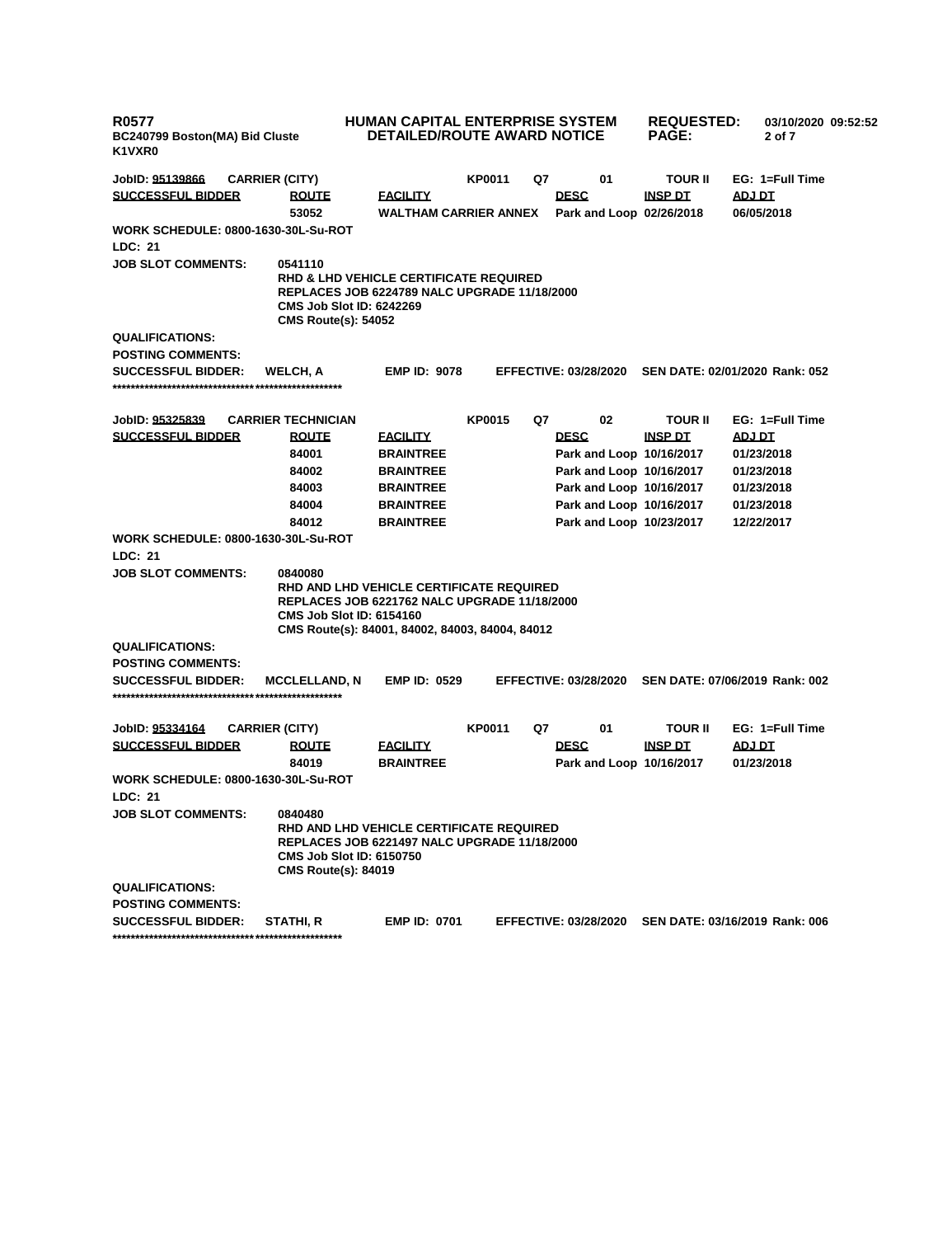| <b>R0577</b><br>K1VXR0                      | HUMAN CAPITAL ENTERPRISE SYSTEM<br><b>DETAILED/ROUTE AWARD NOTICE</b><br>BC240799 Boston(MA) Bid Cluste                                                                                          |                                                 |               |    | <b>REQUESTED:</b><br><b>PAGE:</b>       | 03/10/2020 09:52:52<br>2 of 7 |                                                      |  |
|---------------------------------------------|--------------------------------------------------------------------------------------------------------------------------------------------------------------------------------------------------|-------------------------------------------------|---------------|----|-----------------------------------------|-------------------------------|------------------------------------------------------|--|
| JobID: 95139866                             | <b>CARRIER (CITY)</b>                                                                                                                                                                            |                                                 | <b>KP0011</b> | Q7 | 01                                      | TOUR II                       | EG: 1=Full Time                                      |  |
| <b>SUCCESSFUL BIDDER</b>                    | <b>ROUTE</b><br>53052                                                                                                                                                                            | <b>FACILITY</b><br><b>WALTHAM CARRIER ANNEX</b> |               |    | <b>DESC</b><br>Park and Loop 02/26/2018 | <b>INSP DT</b>                | ADJ DT<br>06/05/2018                                 |  |
| <b>WORK SCHEDULE: 0800-1630-30L-Su-ROT</b>  |                                                                                                                                                                                                  |                                                 |               |    |                                         |                               |                                                      |  |
| <b>LDC: 21</b>                              |                                                                                                                                                                                                  |                                                 |               |    |                                         |                               |                                                      |  |
| <b>JOB SLOT COMMENTS:</b>                   | 0541110<br><b>RHD &amp; LHD VEHICLE CERTIFICATE REQUIRED</b><br><b>REPLACES JOB 6224789 NALC UPGRADE 11/18/2000</b><br><b>CMS Job Slot ID: 6242269</b><br><b>CMS Route(s): 54052</b>             |                                                 |               |    |                                         |                               |                                                      |  |
| <b>QUALIFICATIONS:</b>                      |                                                                                                                                                                                                  |                                                 |               |    |                                         |                               |                                                      |  |
| <b>POSTING COMMENTS:</b>                    |                                                                                                                                                                                                  |                                                 |               |    |                                         |                               |                                                      |  |
| <b>SUCCESSFUL BIDDER:</b>                   | WELCH, A                                                                                                                                                                                         | <b>EMP ID: 9078</b>                             |               |    |                                         |                               | EFFECTIVE: 03/28/2020 SEN DATE: 02/01/2020 Rank: 052 |  |
|                                             |                                                                                                                                                                                                  |                                                 |               |    |                                         |                               |                                                      |  |
|                                             | <b>CARRIER TECHNICIAN</b>                                                                                                                                                                        |                                                 | <b>KP0015</b> | Q7 | 02                                      | TOUR II                       | EG: 1=Full Time                                      |  |
| JobID: 95325839<br><b>SUCCESSFUL BIDDER</b> | <b>ROUTE</b>                                                                                                                                                                                     | <b>FACILITY</b>                                 |               |    | <b>DESC</b>                             | <b>INSP DT</b>                | <b>ADJ DT</b>                                        |  |
|                                             | 84001                                                                                                                                                                                            | <b>BRAINTREE</b>                                |               |    | Park and Loop 10/16/2017                |                               | 01/23/2018                                           |  |
|                                             |                                                                                                                                                                                                  |                                                 |               |    | Park and Loop 10/16/2017                |                               |                                                      |  |
|                                             | 84002<br>84003                                                                                                                                                                                   | <b>BRAINTREE</b><br><b>BRAINTREE</b>            |               |    | Park and Loop 10/16/2017                |                               | 01/23/2018                                           |  |
|                                             | 84004                                                                                                                                                                                            | <b>BRAINTREE</b>                                |               |    | Park and Loop 10/16/2017                |                               | 01/23/2018                                           |  |
|                                             | 84012                                                                                                                                                                                            | <b>BRAINTREE</b>                                |               |    | Park and Loop 10/23/2017                |                               | 01/23/2018<br>12/22/2017                             |  |
| <b>WORK SCHEDULE: 0800-1630-30L-Su-ROT</b>  |                                                                                                                                                                                                  |                                                 |               |    |                                         |                               |                                                      |  |
| LDC: 21                                     |                                                                                                                                                                                                  |                                                 |               |    |                                         |                               |                                                      |  |
| <b>JOB SLOT COMMENTS:</b>                   | 0840080<br>RHD AND LHD VEHICLE CERTIFICATE REQUIRED<br><b>REPLACES JOB 6221762 NALC UPGRADE 11/18/2000</b><br><b>CMS Job Slot ID: 6154160</b><br>CMS Route(s): 84001, 84002, 84003, 84004, 84012 |                                                 |               |    |                                         |                               |                                                      |  |
| <b>QUALIFICATIONS:</b>                      |                                                                                                                                                                                                  |                                                 |               |    |                                         |                               |                                                      |  |
| <b>POSTING COMMENTS:</b>                    |                                                                                                                                                                                                  |                                                 |               |    |                                         |                               |                                                      |  |
| <b>SUCCESSFUL BIDDER:</b>                   | <b>MCCLELLAND, N</b>                                                                                                                                                                             | <b>EMP ID: 0529</b>                             |               |    | <b>EFFECTIVE: 03/28/2020</b>            |                               | SEN DATE: 07/06/2019 Rank: 002                       |  |
| JobID: 95334164                             | <b>CARRIER (CITY)</b>                                                                                                                                                                            |                                                 | <b>KP0011</b> | Q7 | 01                                      | TOUR II                       | EG: 1=Full Time                                      |  |
| <b>SUCCESSFUL BIDDER</b>                    | <b>ROUTE</b>                                                                                                                                                                                     | <b>FACILITY</b>                                 |               |    | <b>DESC</b>                             | <u>INSP DT</u>                | ADJ DT                                               |  |
|                                             | 84019                                                                                                                                                                                            | <b>BRAINTREE</b>                                |               |    | Park and Loop 10/16/2017                |                               | 01/23/2018                                           |  |
| <b>WORK SCHEDULE: 0800-1630-30L-Su-ROT</b>  |                                                                                                                                                                                                  |                                                 |               |    |                                         |                               |                                                      |  |
| LDC: 21                                     |                                                                                                                                                                                                  |                                                 |               |    |                                         |                               |                                                      |  |
| <b>JOB SLOT COMMENTS:</b>                   | 0840480<br>RHD AND LHD VEHICLE CERTIFICATE REQUIRED<br><b>REPLACES JOB 6221497 NALC UPGRADE 11/18/2000</b><br><b>CMS Job Slot ID: 6150750</b><br><b>CMS Route(s): 84019</b>                      |                                                 |               |    |                                         |                               |                                                      |  |
| <b>QUALIFICATIONS:</b>                      |                                                                                                                                                                                                  |                                                 |               |    |                                         |                               |                                                      |  |
| <b>POSTING COMMENTS:</b>                    |                                                                                                                                                                                                  |                                                 |               |    |                                         |                               |                                                      |  |
| <b>SUCCESSFUL BIDDER:</b>                   | STATHI, R                                                                                                                                                                                        | <b>EMP ID: 0701</b>                             |               |    | <b>EFFECTIVE: 03/28/2020</b>            |                               | SEN DATE: 03/16/2019 Rank: 006                       |  |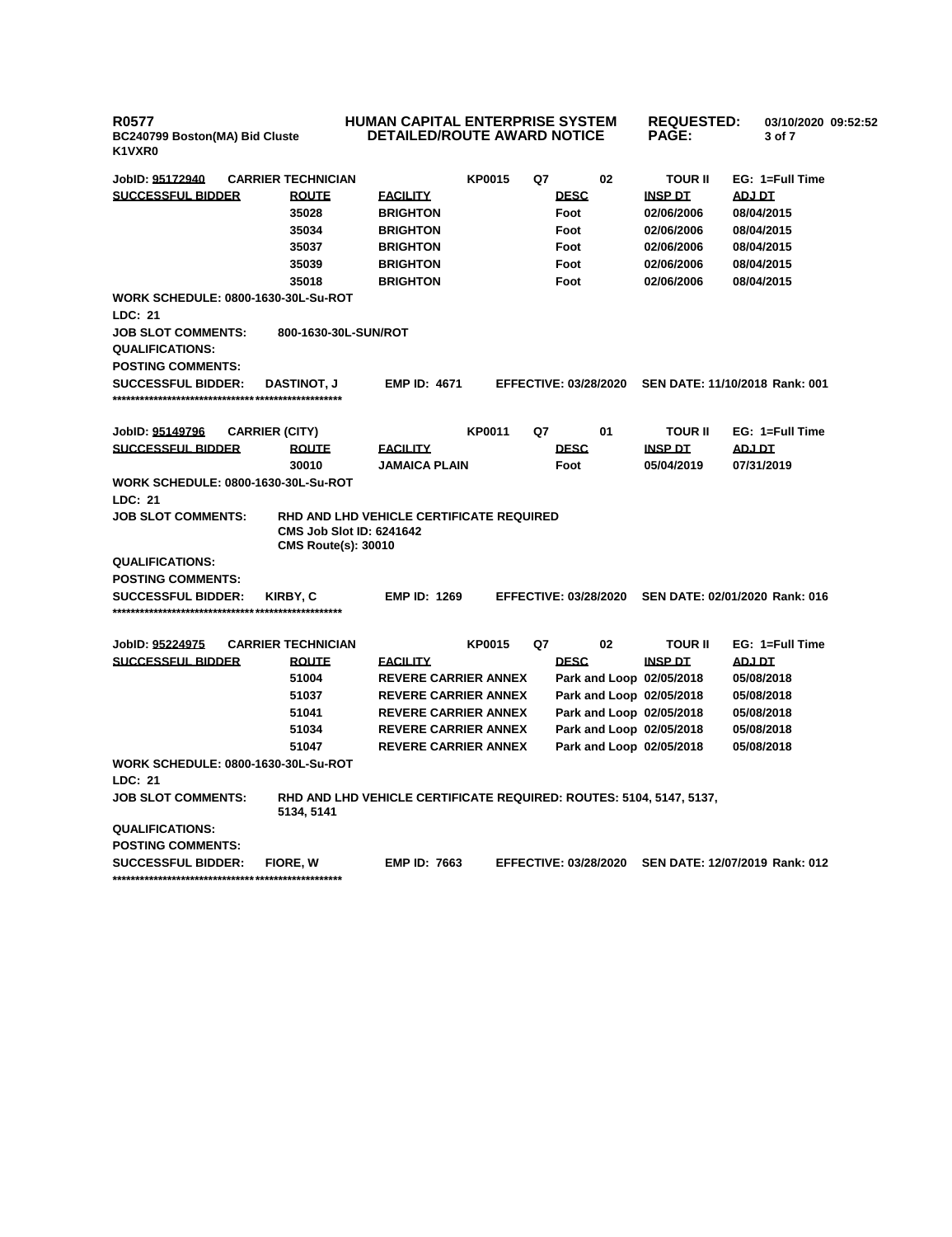**R0577 BC240799 Boston(MA) Bid Cluste K1VXR0**

## **HUMAN CAPITAL ENTERPRISE SYSTEM DETAILED/ROUTE AWARD NOTICE**

**REQUESTED: 03/10/2020 09:52:52 PAGE: 3 of 7** 

| JobID: 95172940                            | <b>CARRIER TECHNICIAN</b>                                                                                 |                             | <b>KP0015</b> | Q7 | 02                           | <b>TOUR II</b> | EG: 1=Full Time                |
|--------------------------------------------|-----------------------------------------------------------------------------------------------------------|-----------------------------|---------------|----|------------------------------|----------------|--------------------------------|
| <b>SUCCESSFUL BIDDER</b>                   | <b>ROUTE</b>                                                                                              | <b>FACILITY</b>             |               |    | <b>DESC</b>                  | <b>INSP DT</b> | ADJ DT                         |
|                                            | 35028                                                                                                     | <b>BRIGHTON</b>             |               |    | Foot                         | 02/06/2006     | 08/04/2015                     |
|                                            | 35034                                                                                                     | <b>BRIGHTON</b>             |               |    | Foot                         | 02/06/2006     | 08/04/2015                     |
|                                            | 35037                                                                                                     | <b>BRIGHTON</b>             |               |    | Foot                         | 02/06/2006     | 08/04/2015                     |
|                                            | 35039                                                                                                     | <b>BRIGHTON</b>             |               |    | Foot                         | 02/06/2006     | 08/04/2015                     |
|                                            | 35018                                                                                                     | <b>BRIGHTON</b>             |               |    | Foot                         | 02/06/2006     | 08/04/2015                     |
| <b>WORK SCHEDULE: 0800-1630-30L-Su-ROT</b> |                                                                                                           |                             |               |    |                              |                |                                |
| LDC: 21                                    |                                                                                                           |                             |               |    |                              |                |                                |
| <b>JOB SLOT COMMENTS:</b>                  | 800-1630-30L-SUN/ROT                                                                                      |                             |               |    |                              |                |                                |
| <b>QUALIFICATIONS:</b>                     |                                                                                                           |                             |               |    |                              |                |                                |
| <b>POSTING COMMENTS:</b>                   |                                                                                                           |                             |               |    |                              |                |                                |
| <b>SUCCESSFUL BIDDER:</b>                  | <b>DASTINOT, J</b>                                                                                        | <b>EMP ID: 4671</b>         |               |    | <b>EFFECTIVE: 03/28/2020</b> |                | SEN DATE: 11/10/2018 Rank: 001 |
|                                            |                                                                                                           |                             |               |    |                              |                |                                |
|                                            |                                                                                                           |                             |               |    |                              |                |                                |
| JobID: 95149796                            | <b>CARRIER (CITY)</b>                                                                                     |                             | <b>KP0011</b> | Q7 | 01                           | <b>TOUR II</b> | EG: 1=Full Time                |
| <b>SUCCESSFUL BIDDER</b>                   | <b>ROUTE</b>                                                                                              | <b>FACILITY</b>             |               |    | <b>DESC</b>                  | <b>INSP DT</b> | ADJ DT                         |
|                                            | 30010                                                                                                     | <b>JAMAICA PLAIN</b>        |               |    | Foot                         | 05/04/2019     | 07/31/2019                     |
| <b>WORK SCHEDULE: 0800-1630-30L-Su-ROT</b> |                                                                                                           |                             |               |    |                              |                |                                |
| <b>LDC: 21</b>                             |                                                                                                           |                             |               |    |                              |                |                                |
| <b>JOB SLOT COMMENTS:</b>                  | RHD AND LHD VEHICLE CERTIFICATE REQUIRED<br><b>CMS Job Slot ID: 6241642</b><br><b>CMS Route(s): 30010</b> |                             |               |    |                              |                |                                |
| <b>QUALIFICATIONS:</b>                     |                                                                                                           |                             |               |    |                              |                |                                |
| <b>POSTING COMMENTS:</b>                   |                                                                                                           |                             |               |    |                              |                |                                |
| <b>SUCCESSFUL BIDDER:</b>                  | <b>KIRBY, C</b>                                                                                           | <b>EMP ID: 1269</b>         |               |    | <b>EFFECTIVE: 03/28/2020</b> |                | SEN DATE: 02/01/2020 Rank: 016 |
|                                            |                                                                                                           |                             |               |    |                              |                |                                |
|                                            |                                                                                                           |                             |               |    |                              |                |                                |
| JobID: 95224975                            | <b>CARRIER TECHNICIAN</b>                                                                                 |                             | <b>KP0015</b> | Q7 | 02                           | <b>TOUR II</b> | EG: 1=Full Time                |
| <b>SUCCESSFUL BIDDER</b>                   | <b>ROUTE</b>                                                                                              | <b>FACILITY</b>             |               |    | <b>DESC</b>                  | <b>INSP DT</b> | <b>ADJ DT</b>                  |
|                                            | 51004                                                                                                     | <b>REVERE CARRIER ANNEX</b> |               |    | Park and Loop 02/05/2018     |                | 05/08/2018                     |
|                                            | 51037                                                                                                     | <b>REVERE CARRIER ANNEX</b> |               |    | Park and Loop 02/05/2018     |                | 05/08/2018                     |
|                                            | 51041                                                                                                     | <b>REVERE CARRIER ANNEX</b> |               |    | Park and Loop 02/05/2018     |                | 05/08/2018                     |
|                                            | 51034                                                                                                     | <b>REVERE CARRIER ANNEX</b> |               |    | Park and Loop 02/05/2018     |                | 05/08/2018                     |
|                                            | 51047                                                                                                     | <b>REVERE CARRIER ANNEX</b> |               |    | Park and Loop 02/05/2018     |                | 05/08/2018                     |
| WORK SCHEDULE: 0800-1630-30L-Su-ROT        |                                                                                                           |                             |               |    |                              |                |                                |
| <b>LDC: 21</b>                             |                                                                                                           |                             |               |    |                              |                |                                |
| <b>JOB SLOT COMMENTS:</b>                  | RHD AND LHD VEHICLE CERTIFICATE REQUIRED: ROUTES: 5104, 5147, 5137,<br>5134, 5141                         |                             |               |    |                              |                |                                |
| <b>QUALIFICATIONS:</b>                     |                                                                                                           |                             |               |    |                              |                |                                |
| <b>POSTING COMMENTS:</b>                   |                                                                                                           |                             |               |    |                              |                |                                |
| <b>SUCCESSFUL BIDDER:</b>                  | <b>FIORE.W</b>                                                                                            | <b>EMP ID: 7663</b>         |               |    | <b>EFFECTIVE: 03/28/2020</b> |                | SEN DATE: 12/07/2019 Rank: 012 |
|                                            |                                                                                                           |                             |               |    |                              |                |                                |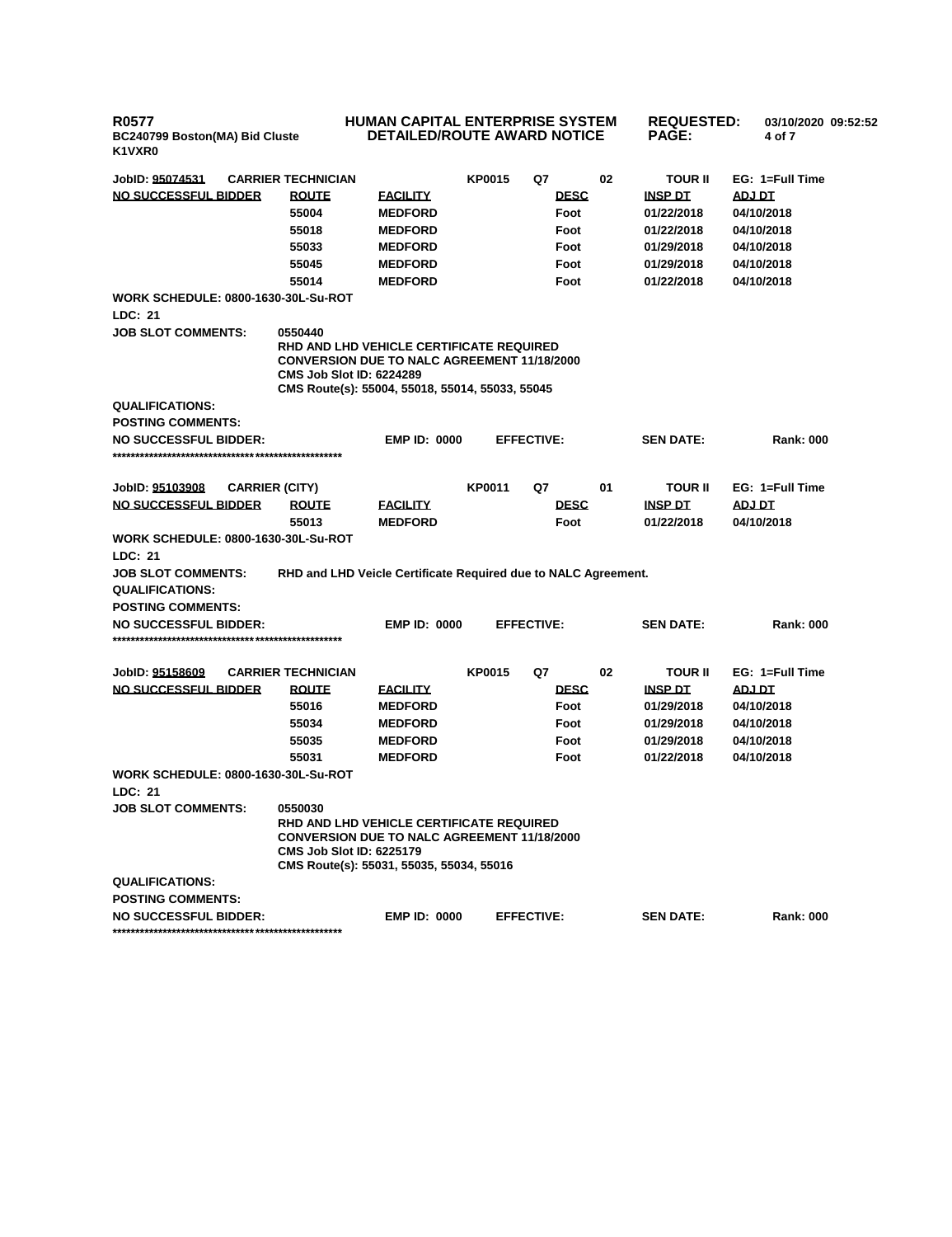**R0577 BC240799 Boston(MA) Bid Cluste K1VXR0**

## **HUMAN CAPITAL ENTERPRISE SYSTEM DETAILED/ROUTE AWARD NOTICE**

**REQUESTED: 03/10/2020 09:52:52 PAGE: 4 of 7** 

| JobID: 95074531                            | <b>CARRIER TECHNICIAN</b>                                                                                                                                                                       |                     | <b>KP0015</b> | Q7                | 02 | TOUR II          | EG: 1=Full Time  |
|--------------------------------------------|-------------------------------------------------------------------------------------------------------------------------------------------------------------------------------------------------|---------------------|---------------|-------------------|----|------------------|------------------|
| NO SUCCESSFUL BIDDER                       | <b>ROUTE</b>                                                                                                                                                                                    | <b>EACILITY</b>     |               | <b>DESC</b>       |    | <b>INSP DT</b>   | <b>ADJ DT</b>    |
|                                            | 55004                                                                                                                                                                                           | <b>MEDFORD</b>      |               | Foot              |    | 01/22/2018       | 04/10/2018       |
|                                            | 55018                                                                                                                                                                                           | <b>MEDFORD</b>      |               | Foot              |    | 01/22/2018       | 04/10/2018       |
|                                            | 55033                                                                                                                                                                                           | <b>MEDFORD</b>      |               | Foot              |    | 01/29/2018       | 04/10/2018       |
|                                            | 55045                                                                                                                                                                                           | <b>MEDFORD</b>      |               | Foot              |    | 01/29/2018       | 04/10/2018       |
|                                            | 55014                                                                                                                                                                                           | <b>MEDFORD</b>      |               | Foot              |    | 01/22/2018       | 04/10/2018       |
| <b>WORK SCHEDULE: 0800-1630-30L-Su-ROT</b> |                                                                                                                                                                                                 |                     |               |                   |    |                  |                  |
| LDC: 21                                    |                                                                                                                                                                                                 |                     |               |                   |    |                  |                  |
| <b>JOB SLOT COMMENTS:</b>                  | 0550440<br>RHD AND LHD VEHICLE CERTIFICATE REQUIRED<br><b>CONVERSION DUE TO NALC AGREEMENT 11/18/2000</b><br><b>CMS Job Slot ID: 6224289</b><br>CMS Route(s): 55004, 55018, 55014, 55033, 55045 |                     |               |                   |    |                  |                  |
| <b>QUALIFICATIONS:</b>                     |                                                                                                                                                                                                 |                     |               |                   |    |                  |                  |
| <b>POSTING COMMENTS:</b>                   |                                                                                                                                                                                                 |                     |               |                   |    |                  |                  |
| <b>NO SUCCESSFUL BIDDER:</b>               |                                                                                                                                                                                                 | <b>EMP ID: 0000</b> |               | <b>EFFECTIVE:</b> |    | <b>SEN DATE:</b> | <b>Rank: 000</b> |
|                                            |                                                                                                                                                                                                 |                     |               |                   |    |                  |                  |
|                                            |                                                                                                                                                                                                 |                     | <b>KP0011</b> | Q7                | 01 | <b>TOUR II</b>   | EG: 1=Full Time  |
| JobID: 95103908<br>NO SUCCESSFUL BIDDER    | <b>CARRIER (CITY)</b><br><b>ROUTE</b>                                                                                                                                                           | <b>FACILITY</b>     |               | <b>DESC</b>       |    | <b>INSP DT</b>   | ADJ DT           |
|                                            | 55013                                                                                                                                                                                           | <b>MEDFORD</b>      |               | Foot              |    | 01/22/2018       | 04/10/2018       |
| <b>WORK SCHEDULE: 0800-1630-30L-Su-ROT</b> |                                                                                                                                                                                                 |                     |               |                   |    |                  |                  |
| LDC: 21                                    |                                                                                                                                                                                                 |                     |               |                   |    |                  |                  |
| <b>JOB SLOT COMMENTS:</b>                  | RHD and LHD Veicle Certificate Required due to NALC Agreement.                                                                                                                                  |                     |               |                   |    |                  |                  |
| <b>QUALIFICATIONS:</b>                     |                                                                                                                                                                                                 |                     |               |                   |    |                  |                  |
| <b>POSTING COMMENTS:</b>                   |                                                                                                                                                                                                 |                     |               |                   |    |                  |                  |
| <b>NO SUCCESSFUL BIDDER:</b>               |                                                                                                                                                                                                 | <b>EMP ID: 0000</b> |               | <b>EFFECTIVE:</b> |    | <b>SEN DATE:</b> | <b>Rank: 000</b> |
|                                            |                                                                                                                                                                                                 |                     |               |                   |    |                  |                  |
|                                            |                                                                                                                                                                                                 |                     |               |                   |    |                  |                  |
| JobID: 95158609                            | <b>CARRIER TECHNICIAN</b>                                                                                                                                                                       |                     | <b>KP0015</b> | Q7                | 02 | <b>TOUR II</b>   | EG: 1=Full Time  |
| <b>NO SUCCESSFUL BIDDER</b>                | <b>ROUTE</b>                                                                                                                                                                                    | <b>FACILITY</b>     |               | <b>DESC</b>       |    | <b>INSP DT</b>   | <b>ADJ DT</b>    |
|                                            | 55016                                                                                                                                                                                           | <b>MEDFORD</b>      |               | Foot              |    | 01/29/2018       | 04/10/2018       |
|                                            | 55034                                                                                                                                                                                           | <b>MEDFORD</b>      |               | Foot              |    | 01/29/2018       | 04/10/2018       |
|                                            | 55035                                                                                                                                                                                           | <b>MEDFORD</b>      |               | Foot              |    | 01/29/2018       | 04/10/2018       |
|                                            | 55031                                                                                                                                                                                           | <b>MEDFORD</b>      |               | Foot              |    | 01/22/2018       | 04/10/2018       |
| <b>WORK SCHEDULE: 0800-1630-30L-Su-ROT</b> |                                                                                                                                                                                                 |                     |               |                   |    |                  |                  |
| LDC: 21                                    |                                                                                                                                                                                                 |                     |               |                   |    |                  |                  |
| <b>JOB SLOT COMMENTS:</b>                  | 0550030<br>RHD AND LHD VEHICLE CERTIFICATE REQUIRED<br><b>CONVERSION DUE TO NALC AGREEMENT 11/18/2000</b><br><b>CMS Job Slot ID: 6225179</b><br>CMS Route(s): 55031, 55035, 55034, 55016        |                     |               |                   |    |                  |                  |
| <b>QUALIFICATIONS:</b>                     |                                                                                                                                                                                                 |                     |               |                   |    |                  |                  |
| <b>POSTING COMMENTS:</b>                   |                                                                                                                                                                                                 |                     |               |                   |    |                  |                  |
| <b>NO SUCCESSFUL BIDDER:</b>               |                                                                                                                                                                                                 | <b>EMP ID: 0000</b> |               | <b>EFFECTIVE:</b> |    | <b>SEN DATE:</b> | <b>Rank: 000</b> |
|                                            |                                                                                                                                                                                                 |                     |               |                   |    |                  |                  |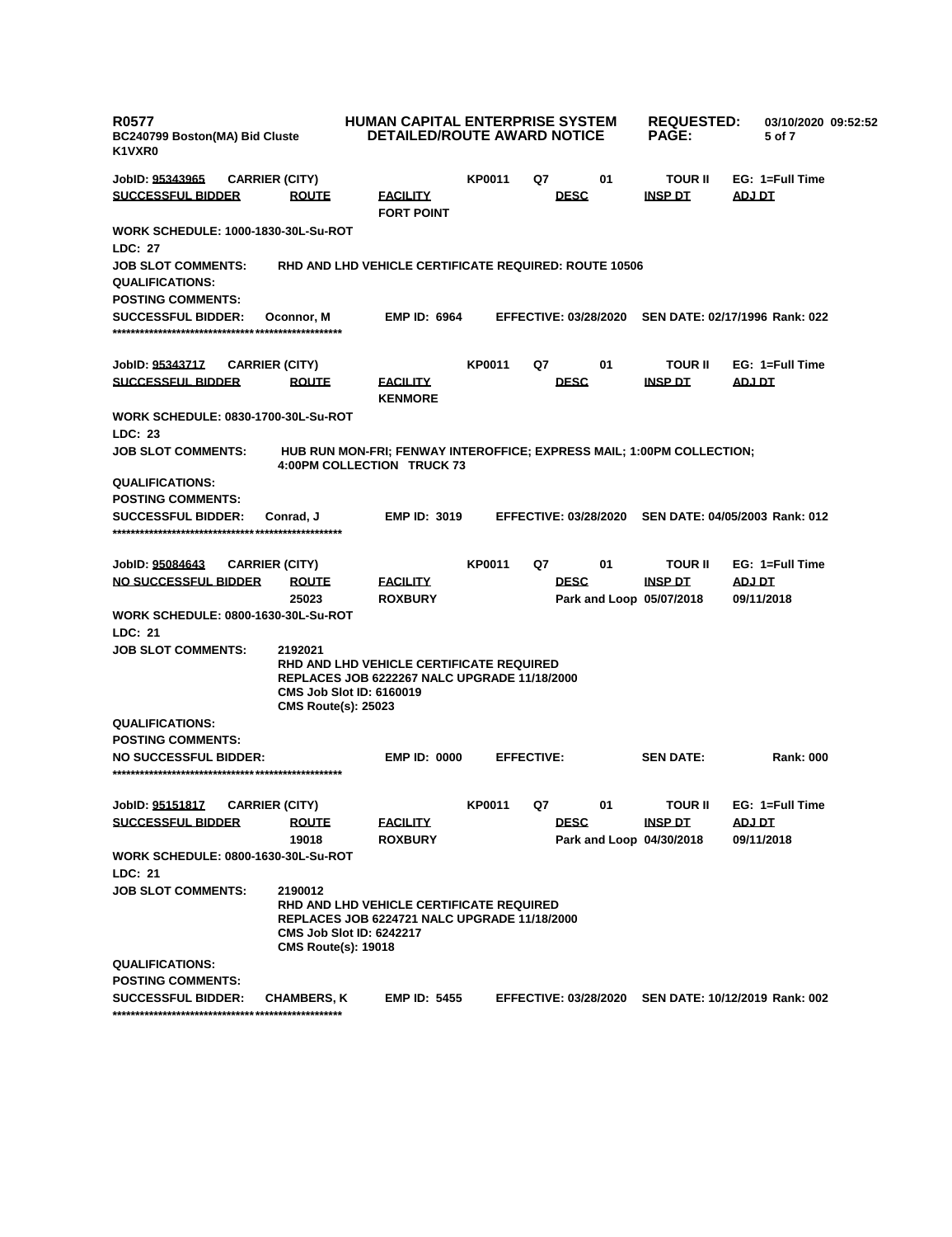| <b>R0577</b><br>BC240799 Boston(MA) Bid Cluste<br>K1VXR0     |                       |                                                                          | <b>HUMAN CAPITAL ENTERPRISE SYSTEM</b><br><b>DETAILED/ROUTE AWARD NOTICE</b>                        |               |                   |                              |  | <b>REQUESTED:</b><br><b>PAGE:</b>          |               | 03/10/2020 09:52:52<br>5 of 7 |  |
|--------------------------------------------------------------|-----------------------|--------------------------------------------------------------------------|-----------------------------------------------------------------------------------------------------|---------------|-------------------|------------------------------|--|--------------------------------------------|---------------|-------------------------------|--|
| JobID: 95343965                                              | <b>CARRIER (CITY)</b> |                                                                          |                                                                                                     | KP0011        | Q7                | 01                           |  | <b>TOUR II</b>                             |               | EG: 1=Full Time               |  |
| <b>SUCCESSFUL BIDDER</b>                                     |                       | <b>ROUTE</b>                                                             | <b>FACILITY</b><br><b>FORT POINT</b>                                                                |               |                   | <b>DESC</b>                  |  | <b>INSP DT</b>                             | ADJ DT        |                               |  |
| <b>WORK SCHEDULE: 1000-1830-30L-Su-ROT</b><br><b>LDC: 27</b> |                       |                                                                          |                                                                                                     |               |                   |                              |  |                                            |               |                               |  |
| <b>JOB SLOT COMMENTS:</b><br><b>QUALIFICATIONS:</b>          |                       |                                                                          | <b>RHD AND LHD VEHICLE CERTIFICATE REQUIRED: ROUTE 10506</b>                                        |               |                   |                              |  |                                            |               |                               |  |
| <b>POSTING COMMENTS:</b><br><b>SUCCESSFUL BIDDER:</b>        |                       | Oconnor, M                                                               | <b>EMP ID: 6964</b>                                                                                 |               |                   | <b>EFFECTIVE: 03/28/2020</b> |  | SEN DATE: 02/17/1996 Rank: 022             |               |                               |  |
|                                                              |                       |                                                                          |                                                                                                     |               |                   |                              |  |                                            |               |                               |  |
| JobID: 95343717                                              | <b>CARRIER (CITY)</b> |                                                                          |                                                                                                     | <b>KP0011</b> | Q7                | 01                           |  | <b>TOUR II</b>                             |               | EG: 1=Full Time               |  |
| <b>SUCCESSFUL BIDDER</b>                                     |                       | <b>ROUTE</b>                                                             | <b>FACILITY</b><br><b>KENMORE</b>                                                                   |               |                   | <b>DESC</b>                  |  | <b>INSP DT</b>                             | <b>ADJ DT</b> |                               |  |
| <b>WORK SCHEDULE: 0830-1700-30L-Su-ROT</b>                   |                       |                                                                          |                                                                                                     |               |                   |                              |  |                                            |               |                               |  |
| LDC: 23                                                      |                       |                                                                          |                                                                                                     |               |                   |                              |  |                                            |               |                               |  |
| <b>JOB SLOT COMMENTS:</b>                                    |                       |                                                                          | HUB RUN MON-FRI; FENWAY INTEROFFICE; EXPRESS MAIL; 1:00PM COLLECTION;<br>4:00PM COLLECTION TRUCK 73 |               |                   |                              |  |                                            |               |                               |  |
| <b>QUALIFICATIONS:</b>                                       |                       |                                                                          |                                                                                                     |               |                   |                              |  |                                            |               |                               |  |
| <b>POSTING COMMENTS:</b>                                     |                       |                                                                          |                                                                                                     |               |                   |                              |  |                                            |               |                               |  |
| <b>SUCCESSFUL BIDDER:</b>                                    |                       | Conrad, J                                                                | <b>EMP ID: 3019</b>                                                                                 |               |                   | <b>EFFECTIVE: 03/28/2020</b> |  | SEN DATE: 04/05/2003 Rank: 012             |               |                               |  |
| JobID: 95084643                                              | <b>CARRIER (CITY)</b> |                                                                          |                                                                                                     | <b>KP0011</b> | Q7                | 01                           |  | <b>TOUR II</b>                             |               | EG: 1=Full Time               |  |
| <b>NO SUCCESSFUL BIDDER</b>                                  |                       | <b>ROUTE</b><br>25023                                                    | <b>FACILITY</b><br><b>ROXBURY</b>                                                                   |               |                   | <b>DESC</b>                  |  | <b>INSP DT</b><br>Park and Loop 05/07/2018 | <u>ADJ DT</u> | 09/11/2018                    |  |
| <b>WORK SCHEDULE: 0800-1630-30L-Su-ROT</b><br>LDC: 21        |                       |                                                                          |                                                                                                     |               |                   |                              |  |                                            |               |                               |  |
| <b>JOB SLOT COMMENTS:</b>                                    |                       | 2192021<br>CMS Job Slot ID: 6160019<br><b>CMS Route(s): 25023</b>        | RHD AND LHD VEHICLE CERTIFICATE REQUIRED<br><b>REPLACES JOB 6222267 NALC UPGRADE 11/18/2000</b>     |               |                   |                              |  |                                            |               |                               |  |
| <b>QUALIFICATIONS:</b>                                       |                       |                                                                          |                                                                                                     |               |                   |                              |  |                                            |               |                               |  |
| <b>POSTING COMMENTS:</b>                                     |                       |                                                                          |                                                                                                     |               |                   |                              |  |                                            |               |                               |  |
| <b>NO SUCCESSFUL BIDDER:</b>                                 |                       |                                                                          | <b>EMP ID: 0000</b>                                                                                 |               | <b>EFFECTIVE:</b> |                              |  | <b>SEN DATE:</b>                           |               | <b>Rank: 000</b>              |  |
|                                                              |                       |                                                                          |                                                                                                     |               |                   |                              |  |                                            |               |                               |  |
| JobID: <u>95151817</u>                                       | <b>CARRIER (CITY)</b> |                                                                          |                                                                                                     | <b>KP0011</b> | Q7                | 01                           |  | <b>TOUR II</b>                             |               | EG: 1=Full Time               |  |
| <b>SUCCESSFUL BIDDER</b>                                     |                       | <b>ROUTE</b>                                                             | <b>FACILITY</b>                                                                                     |               |                   | <b>DESC</b>                  |  | <b>INSP DT</b>                             | <u>ADJ DT</u> |                               |  |
|                                                              |                       | 19018                                                                    | <b>ROXBURY</b>                                                                                      |               |                   |                              |  | Park and Loop 04/30/2018                   |               | 09/11/2018                    |  |
| <b>WORK SCHEDULE: 0800-1630-30L-Su-ROT</b>                   |                       |                                                                          |                                                                                                     |               |                   |                              |  |                                            |               |                               |  |
| LDC: 21                                                      |                       |                                                                          |                                                                                                     |               |                   |                              |  |                                            |               |                               |  |
| <b>JOB SLOT COMMENTS:</b>                                    |                       | 2190012<br><b>CMS Job Slot ID: 6242217</b><br><b>CMS Route(s): 19018</b> | RHD AND LHD VEHICLE CERTIFICATE REQUIRED<br><b>REPLACES JOB 6224721 NALC UPGRADE 11/18/2000</b>     |               |                   |                              |  |                                            |               |                               |  |
| <b>QUALIFICATIONS:</b>                                       |                       |                                                                          |                                                                                                     |               |                   |                              |  |                                            |               |                               |  |
| <b>POSTING COMMENTS:</b>                                     |                       |                                                                          |                                                                                                     |               |                   |                              |  |                                            |               |                               |  |
| <b>SUCCESSFUL BIDDER:</b>                                    |                       | <b>CHAMBERS, K</b>                                                       | <b>EMP ID: 5455</b>                                                                                 |               |                   | <b>EFFECTIVE: 03/28/2020</b> |  | SEN DATE: 10/12/2019 Rank: 002             |               |                               |  |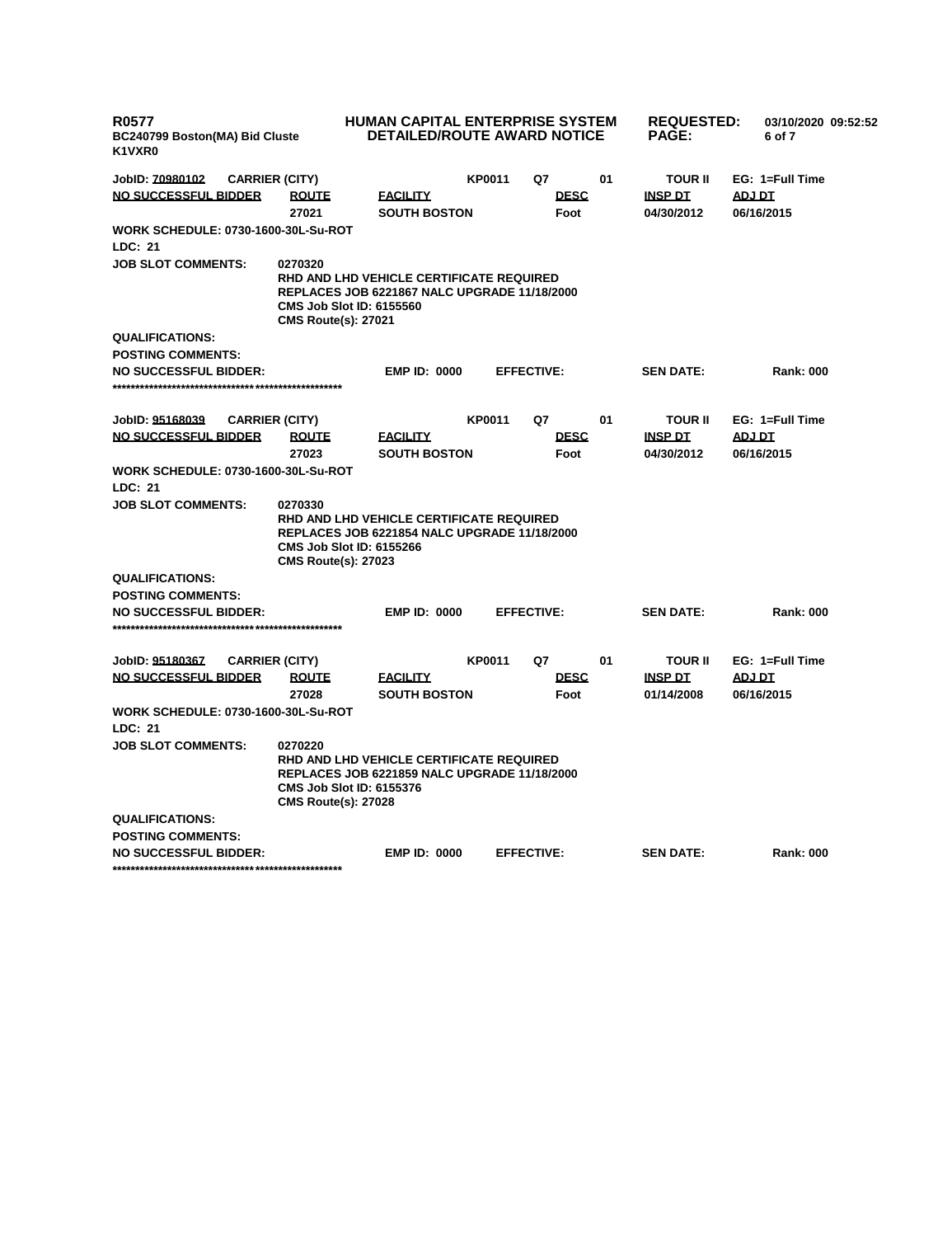| <b>R0577</b><br>BC240799 Boston(MA) Bid Cluste<br>K1VXR0 | HUMAN CAPITAL ENTERPRISE SYSTEM<br><b>DETAILED/ROUTE AWARD NOTICE</b>                                                                                            |                   |             |    |                  | <b>REQUESTED:</b><br>03/10/2020 09:52:52<br>6 of 7 |  |  |  |
|----------------------------------------------------------|------------------------------------------------------------------------------------------------------------------------------------------------------------------|-------------------|-------------|----|------------------|----------------------------------------------------|--|--|--|
| JobID: 70980102<br><b>CARRIER (CITY)</b>                 |                                                                                                                                                                  | <b>KP0011</b>     | Q7          | 01 | <b>TOUR II</b>   | EG: 1=Full Time                                    |  |  |  |
| NO SUCCESSFUL BIDDER<br><b>ROUTE</b>                     | <b>FACILITY</b>                                                                                                                                                  |                   | <b>DESC</b> |    | <b>INSP DT</b>   | <b>ADJ DT</b>                                      |  |  |  |
| 27021                                                    | <b>SOUTH BOSTON</b>                                                                                                                                              |                   | Foot        |    | 04/30/2012       | 06/16/2015                                         |  |  |  |
| <b>WORK SCHEDULE: 0730-1600-30L-Su-ROT</b>               |                                                                                                                                                                  |                   |             |    |                  |                                                    |  |  |  |
| LDC: 21                                                  |                                                                                                                                                                  |                   |             |    |                  |                                                    |  |  |  |
| <b>JOB SLOT COMMENTS:</b><br>0270320                     | RHD AND LHD VEHICLE CERTIFICATE REQUIRED<br><b>REPLACES JOB 6221867 NALC UPGRADE 11/18/2000</b><br><b>CMS Job Slot ID: 6155560</b><br><b>CMS Route(s): 27021</b> |                   |             |    |                  |                                                    |  |  |  |
| <b>QUALIFICATIONS:</b>                                   |                                                                                                                                                                  |                   |             |    |                  |                                                    |  |  |  |
| <b>POSTING COMMENTS:</b>                                 |                                                                                                                                                                  |                   |             |    |                  |                                                    |  |  |  |
| <b>NO SUCCESSFUL BIDDER:</b>                             | <b>EMP ID: 0000</b>                                                                                                                                              | <b>EFFECTIVE:</b> |             |    | <b>SEN DATE:</b> | <b>Rank: 000</b>                                   |  |  |  |
|                                                          |                                                                                                                                                                  |                   |             |    |                  |                                                    |  |  |  |
| JobID: 95168039<br><b>CARRIER (CITY)</b>                 |                                                                                                                                                                  | <b>KP0011</b>     | Q7          | 01 | TOUR II          | EG: 1=Full Time                                    |  |  |  |
| <b>NO SUCCESSFUL BIDDER</b><br><b>ROUTE</b>              | <b>FACILITY</b>                                                                                                                                                  |                   | <b>DESC</b> |    | <b>INSP DT</b>   | <b>ADJ DT</b>                                      |  |  |  |
| 27023                                                    | <b>SOUTH BOSTON</b>                                                                                                                                              |                   | Foot        |    | 04/30/2012       | 06/16/2015                                         |  |  |  |
| <b>WORK SCHEDULE: 0730-1600-30L-Su-ROT</b>               |                                                                                                                                                                  |                   |             |    |                  |                                                    |  |  |  |
| LDC: 21                                                  |                                                                                                                                                                  |                   |             |    |                  |                                                    |  |  |  |
| <b>JOB SLOT COMMENTS:</b><br>0270330                     | RHD AND LHD VEHICLE CERTIFICATE REQUIRED<br><b>REPLACES JOB 6221854 NALC UPGRADE 11/18/2000</b><br><b>CMS Job Slot ID: 6155266</b><br><b>CMS Route(s): 27023</b> |                   |             |    |                  |                                                    |  |  |  |
| <b>QUALIFICATIONS:</b>                                   |                                                                                                                                                                  |                   |             |    |                  |                                                    |  |  |  |
| <b>POSTING COMMENTS:</b>                                 |                                                                                                                                                                  |                   |             |    |                  |                                                    |  |  |  |
| <b>NO SUCCESSFUL BIDDER:</b>                             | <b>EMP ID: 0000</b>                                                                                                                                              | <b>EFFECTIVE:</b> |             |    | <b>SEN DATE:</b> | <b>Rank: 000</b>                                   |  |  |  |
| JobID: 95180367<br><b>CARRIER (CITY)</b>                 |                                                                                                                                                                  | <b>KP0011</b>     | Q7          | 01 | <b>TOUR II</b>   | EG: 1=Full Time                                    |  |  |  |
| <b>NO SUCCESSFUL BIDDER</b><br><b>ROUTE</b>              | <b>FACILITY</b>                                                                                                                                                  |                   | <b>DESC</b> |    | <b>INSP DT</b>   | <b>ADJ DT</b>                                      |  |  |  |
| 27028                                                    | <b>SOUTH BOSTON</b>                                                                                                                                              |                   | Foot        |    | 01/14/2008       | 06/16/2015                                         |  |  |  |
| <b>WORK SCHEDULE: 0730-1600-30L-Su-ROT</b>               |                                                                                                                                                                  |                   |             |    |                  |                                                    |  |  |  |
| LDC: 21                                                  |                                                                                                                                                                  |                   |             |    |                  |                                                    |  |  |  |
| <b>JOB SLOT COMMENTS:</b><br>0270220                     | RHD AND LHD VEHICLE CERTIFICATE REQUIRED<br><b>REPLACES JOB 6221859 NALC UPGRADE 11/18/2000</b><br><b>CMS Job Slot ID: 6155376</b><br><b>CMS Route(s): 27028</b> |                   |             |    |                  |                                                    |  |  |  |
| <b>QUALIFICATIONS:</b>                                   |                                                                                                                                                                  |                   |             |    |                  |                                                    |  |  |  |
| <b>POSTING COMMENTS:</b>                                 |                                                                                                                                                                  |                   |             |    |                  |                                                    |  |  |  |
| <b>NO SUCCESSFUL BIDDER:</b>                             | <b>EMP ID: 0000</b>                                                                                                                                              | <b>EFFECTIVE:</b> |             |    | <b>SEN DATE:</b> | <b>Rank: 000</b>                                   |  |  |  |